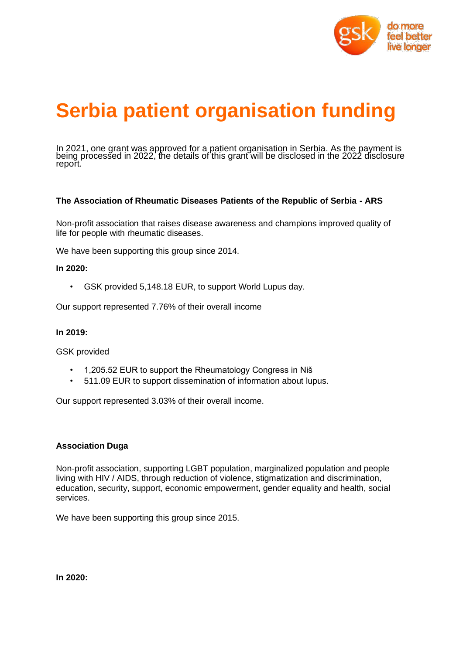

# **Serbia patient organisation funding**

In 2021, one grant was approved for a patient organisation in Serbia. As the payment is being processed in 2022, the details of this grant will be disclosed in the 2022 disclosure report.

# **The Association of Rheumatic Diseases Patients of the Republic of Serbia - ARS**

Non-profit association that raises disease awareness and champions improved quality of life for people with rheumatic diseases.

We have been supporting this group since 2014.

## **In 2020:**

• GSK provided 5,148.18 EUR, to support World Lupus day.

Our support represented 7.76% of their overall income

#### **In 2019:**

GSK provided

- 1,205.52 EUR to support the Rheumatology Congress in Niš
- 511.09 EUR to support dissemination of information about lupus.

Our support represented 3.03% of their overall income.

#### **Association Duga**

Non-profit association, supporting LGBT population, marginalized population and people living with HIV / AIDS, through reduction of violence, stigmatization and discrimination, education, security, support, economic empowerment, gender equality and health, social services.

We have been supporting this group since 2015.

**In 2020:**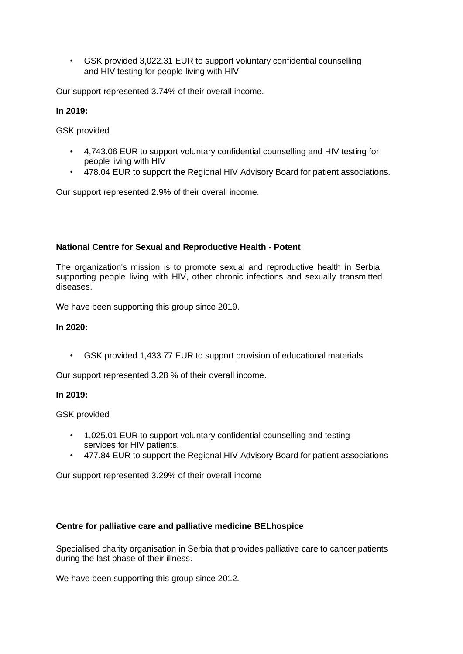• GSK provided 3,022.31 EUR to support voluntary confidential counselling and HIV testing for people living with HIV

Our support represented 3.74% of their overall income.

# **In 2019:**

GSK provided

- 4,743.06 EUR to support voluntary confidential counselling and HIV testing for people living with HIV
- 478.04 EUR to support the Regional HIV Advisory Board for patient associations.

Our support represented 2.9% of their overall income.

# **National Centre for Sexual and Reproductive Health - Potent**

The organization's mission is to promote sexual and reproductive health in Serbia, supporting people living with HIV, other chronic infections and sexually transmitted diseases.

We have been supporting this group since 2019.

## **In 2020:**

• GSK provided 1,433.77 EUR to support provision of educational materials.

Our support represented 3.28 % of their overall income.

## **In 2019:**

GSK provided

- 1,025.01 EUR to support voluntary confidential counselling and testing services for HIV patients.
- 477.84 EUR to support the Regional HIV Advisory Board for patient associations

Our support represented 3.29% of their overall income

# **Centre for palliative care and palliative medicine BELhospice**

Specialised charity organisation in Serbia that provides palliative care to cancer patients during the last phase of their illness.

We have been supporting this group since 2012.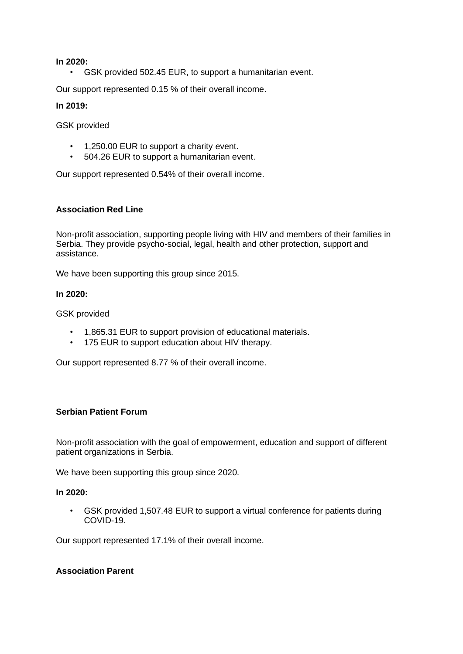#### **In 2020:**

• GSK provided 502.45 EUR, to support a humanitarian event.

Our support represented 0.15 % of their overall income.

#### **In 2019:**

GSK provided

- 1,250.00 EUR to support a charity event.
- 504.26 EUR to support a humanitarian event.

Our support represented 0.54% of their overall income.

## **Association Red Line**

Non-profit association, supporting people living with HIV and members of their families in Serbia. They provide psycho-social, legal, health and other protection, support and assistance.

We have been supporting this group since 2015.

## **In 2020:**

GSK provided

- 1,865.31 EUR to support provision of educational materials.
- 175 EUR to support education about HIV therapy.

Our support represented 8.77 % of their overall income.

# **Serbian Patient Forum**

Non-profit association with the goal of empowerment, education and support of different patient organizations in Serbia.

We have been supporting this group since 2020.

## **In 2020:**

• GSK provided 1,507.48 EUR to support a virtual conference for patients during COVID-19.

Our support represented 17.1% of their overall income.

## **Association Parent**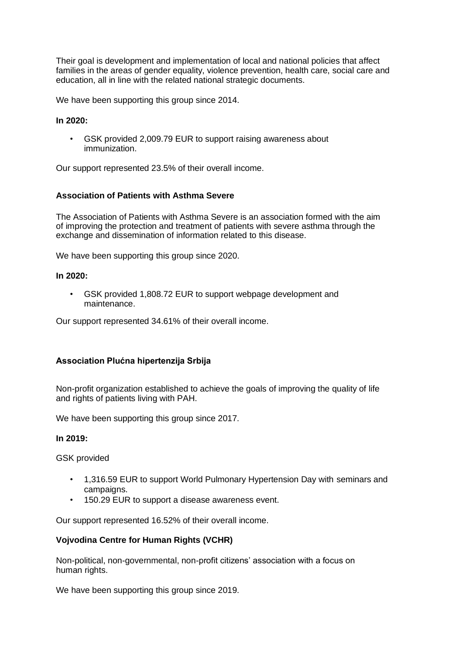Their goal is development and implementation of local and national policies that affect families in the areas of gender equality, violence prevention, health care, social care and education, all in line with the related national strategic documents.

We have been supporting this group since 2014.

#### **In 2020:**

GSK provided 2,009.79 EUR to support raising awareness about immunization.

Our support represented 23.5% of their overall income.

## **Association of Patients with Asthma Severe**

The Association of Patients with Asthma Severe is an association formed with the aim of improving the protection and treatment of patients with severe asthma through the exchange and dissemination of information related to this disease.

We have been supporting this group since 2020.

## **In 2020:**

• GSK provided 1,808.72 EUR to support webpage development and maintenance.

Our support represented 34.61% of their overall income.

# **Association Plućna hipertenzija Srbija**

Non-profit organization established to achieve the goals of improving the quality of life and rights of patients living with PAH.

We have been supporting this group since 2017.

#### **In 2019:**

GSK provided

- 1,316.59 EUR to support World Pulmonary Hypertension Day with seminars and campaigns.
- 150.29 EUR to support a disease awareness event.

Our support represented 16.52% of their overall income.

# **Vojvodina Centre for Human Rights (VCHR)**

Non-political, non-governmental, non-profit citizens' association with a focus on human rights.

We have been supporting this group since 2019.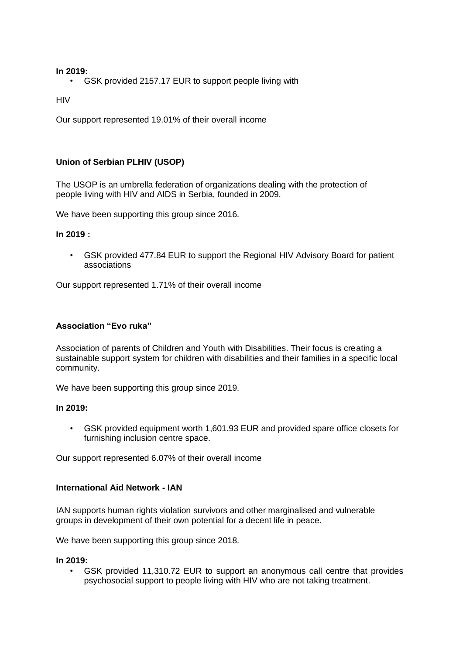## **In 2019:**

• GSK provided 2157.17 EUR to support people living with

HIV

Our support represented 19.01% of their overall income

# **Union of Serbian PLHIV (USOP)**

The USOP is an umbrella federation of organizations dealing with the protection of people living with HIV and AIDS in Serbia, founded in 2009.

We have been supporting this group since 2016.

## **In 2019 :**

• GSK provided 477.84 EUR to support the Regional HIV Advisory Board for patient associations

Our support represented 1.71% of their overall income

# **Association "Evo ruka"**

Association of parents of Children and Youth with Disabilities. Their focus is creating a sustainable support system for children with disabilities and their families in a specific local community.

We have been supporting this group since 2019.

#### **In 2019:**

• GSK provided equipment worth 1,601.93 EUR and provided spare office closets for furnishing inclusion centre space.

Our support represented 6.07% of their overall income

#### **International Aid Network - IAN**

IAN supports human rights violation survivors and other marginalised and vulnerable groups in development of their own potential for a decent life in peace.

We have been supporting this group since 2018.

#### **In 2019:**

• GSK provided 11,310.72 EUR to support an anonymous call centre that provides psychosocial support to people living with HIV who are not taking treatment.